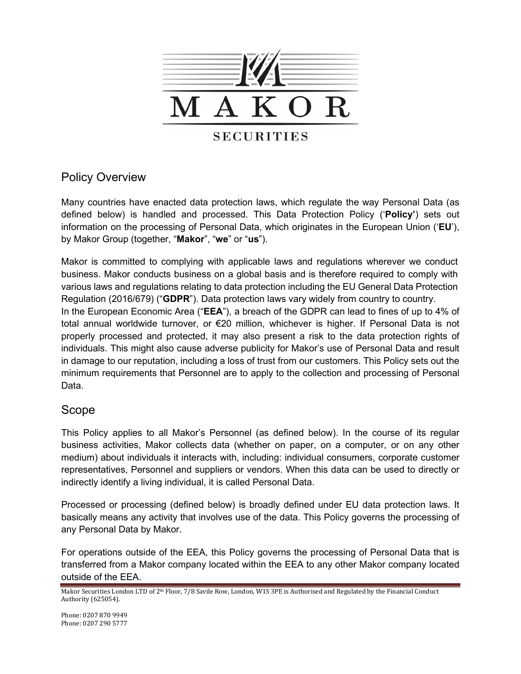

# Policy Overview

Many countries have enacted data protection laws, which regulate the way Personal Data (as defined below) is handled and processed. This Data Protection Policy ('**Policy'**) sets out information on the processing of Personal Data, which originates in the European Union ('**EU**'), by Makor Group (together, "**Makor**", "**we**" or "**us**").

Makor is committed to complying with applicable laws and regulations wherever we conduct business. Makor conducts business on a global basis and is therefore required to comply with various laws and regulations relating to data protection including the EU General Data Protection Regulation (2016/679) ("**GDPR**"). Data protection laws vary widely from country to country. In the European Economic Area ("**EEA**"), a breach of the GDPR can lead to fines of up to 4% of total annual worldwide turnover, or €20 million, whichever is higher. If Personal Data is not properly processed and protected, it may also present a risk to the data protection rights of individuals. This might also cause adverse publicity for Makor's use of Personal Data and result in damage to our reputation, including a loss of trust from our customers. This Policy sets out the minimum requirements that Personnel are to apply to the collection and processing of Personal Data.

## Scope

This Policy applies to all Makor's Personnel (as defined below). In the course of its regular business activities, Makor collects data (whether on paper, on a computer, or on any other medium) about individuals it interacts with, including: individual consumers, corporate customer representatives, Personnel and suppliers or vendors. When this data can be used to directly or indirectly identify a living individual, it is called Personal Data.

Processed or processing (defined below) is broadly defined under EU data protection laws. It basically means any activity that involves use of the data. This Policy governs the processing of any Personal Data by Makor.

For operations outside of the EEA, this Policy governs the processing of Personal Data that is transferred from a Makor company located within the EEA to any other Makor company located outside of the EEA.

Makor Securities London LTD of 2<sup>th</sup> Floor, 7/8 Savile Row, London, W1S 3PE is Authorised and Regulated by the Financial Conduct Authority (625054).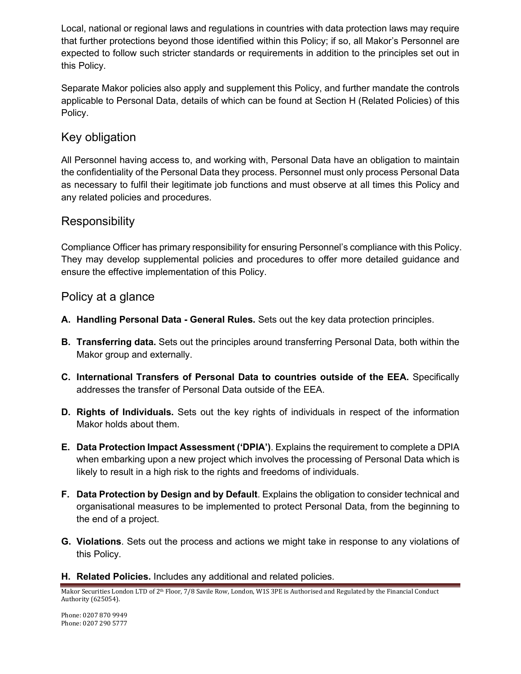Local, national or regional laws and regulations in countries with data protection laws may require that further protections beyond those identified within this Policy; if so, all Makor's Personnel are expected to follow such stricter standards or requirements in addition to the principles set out in this Policy.

Separate Makor policies also apply and supplement this Policy, and further mandate the controls applicable to Personal Data, details of which can be found at Section H (Related Policies) of this Policy.

# Key obligation

All Personnel having access to, and working with, Personal Data have an obligation to maintain the confidentiality of the Personal Data they process. Personnel must only process Personal Data as necessary to fulfil their legitimate job functions and must observe at all times this Policy and any related policies and procedures.

## **Responsibility**

Compliance Officer has primary responsibility for ensuring Personnel's compliance with this Policy. They may develop supplemental policies and procedures to offer more detailed guidance and ensure the effective implementation of this Policy.

## Policy at a glance

- **A. Handling Personal Data - General Rules.** Sets out the key data protection principles.
- **B. Transferring data.** Sets out the principles around transferring Personal Data, both within the Makor group and externally.
- **C. International Transfers of Personal Data to countries outside of the EEA.** Specifically addresses the transfer of Personal Data outside of the EEA.
- **D. Rights of Individuals.** Sets out the key rights of individuals in respect of the information Makor holds about them.
- **E. Data Protection Impact Assessment ('DPIA')**. Explains the requirement to complete a DPIA when embarking upon a new project which involves the processing of Personal Data which is likely to result in a high risk to the rights and freedoms of individuals.
- **F. Data Protection by Design and by Default**. Explains the obligation to consider technical and organisational measures to be implemented to protect Personal Data, from the beginning to the end of a project.
- **G. Violations**. Sets out the process and actions we might take in response to any violations of this Policy.

#### **H. Related Policies.** Includes any additional and related policies*.*

Makor Securities London LTD of 2<sup>th</sup> Floor, 7/8 Savile Row, London, W1S 3PE is Authorised and Regulated by the Financial Conduct Authority (625054).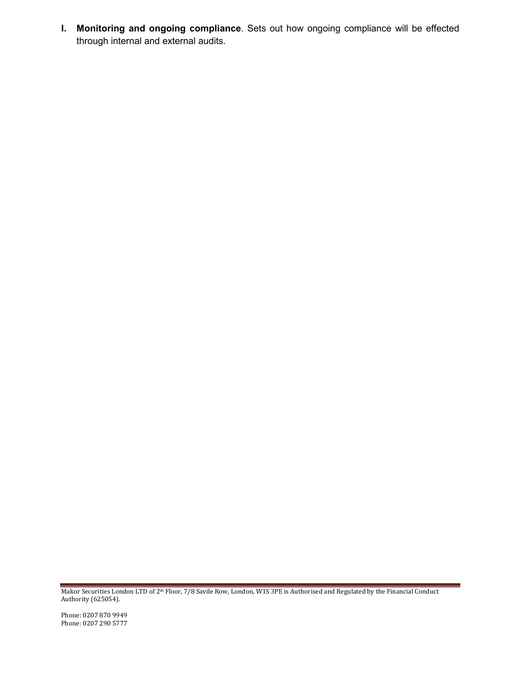**I. Monitoring and ongoing compliance**. Sets out how ongoing compliance will be effected through internal and external audits.

Makor Securities London LTD of 2<sup>th</sup> Floor, 7/8 Savile Row, London, W1S 3PE is Authorised and Regulated by the Financial Conduct Authority (625054).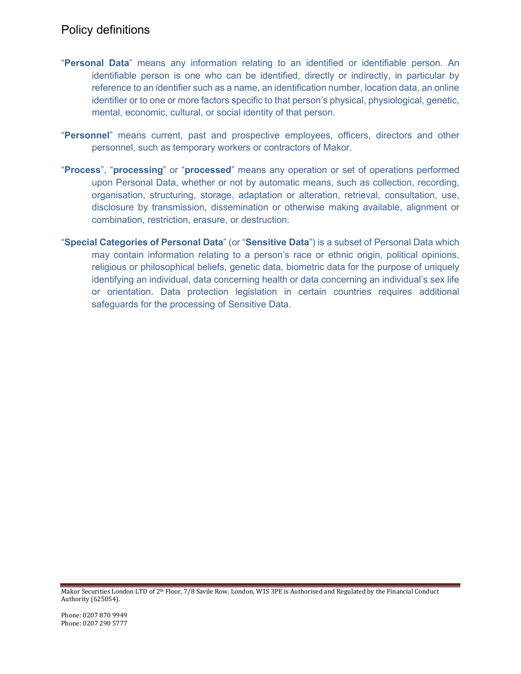## Policy definitions

- "**Personal Data**" means any information relating to an identified or identifiable person. An identifiable person is one who can be identified, directly or indirectly, in particular by reference to an identifier such as a name, an identification number, location data, an online identifier or to one or more factors specific to that person's physical, physiological, genetic, mental, economic, cultural, or social identity of that person.
- "**Personnel**" means current, past and prospective employees, officers, directors and other personnel, such as temporary workers or contractors of Makor.
- "**Process**", "**processing**" or "**processed**" means any operation or set of operations performed upon Personal Data, whether or not by automatic means, such as collection, recording, organisation, structuring, storage, adaptation or alteration, retrieval, consultation, use, disclosure by transmission, dissemination or otherwise making available, alignment or combination, restriction, erasure, or destruction.
- "**Special Categories of Personal Data**" (or "**Sensitive Data**") is a subset of Personal Data which may contain information relating to a person's race or ethnic origin, political opinions, religious or philosophical beliefs, genetic data, biometric data for the purpose of uniquely identifying an individual, data concerning health or data concerning an individual's sex life or orientation. Data protection legislation in certain countries requires additional safeguards for the processing of Sensitive Data.

Makor Securities London LTD of 2<sup>th</sup> Floor, 7/8 Savile Row, London, W1S 3PE is Authorised and Regulated by the Financial Conduct Authority (625054).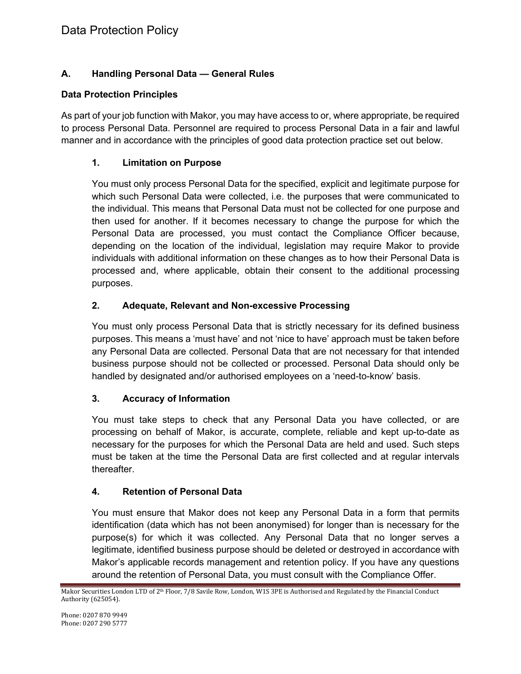## **A. Handling Personal Data — General Rules**

### **Data Protection Principles**

As part of your job function with Makor, you may have access to or, where appropriate, be required to process Personal Data. Personnel are required to process Personal Data in a fair and lawful manner and in accordance with the principles of good data protection practice set out below.

### **1. Limitation on Purpose**

You must only process Personal Data for the specified, explicit and legitimate purpose for which such Personal Data were collected, i.e. the purposes that were communicated to the individual. This means that Personal Data must not be collected for one purpose and then used for another. If it becomes necessary to change the purpose for which the Personal Data are processed, you must contact the Compliance Officer because, depending on the location of the individual, legislation may require Makor to provide individuals with additional information on these changes as to how their Personal Data is processed and, where applicable, obtain their consent to the additional processing purposes.

### **2. Adequate, Relevant and Non-excessive Processing**

You must only process Personal Data that is strictly necessary for its defined business purposes. This means a 'must have' and not 'nice to have' approach must be taken before any Personal Data are collected. Personal Data that are not necessary for that intended business purpose should not be collected or processed. Personal Data should only be handled by designated and/or authorised employees on a 'need-to-know' basis.

#### **3. Accuracy of Information**

You must take steps to check that any Personal Data you have collected, or are processing on behalf of Makor, is accurate, complete, reliable and kept up-to-date as necessary for the purposes for which the Personal Data are held and used. Such steps must be taken at the time the Personal Data are first collected and at regular intervals thereafter.

#### **4. Retention of Personal Data**

You must ensure that Makor does not keep any Personal Data in a form that permits identification (data which has not been anonymised) for longer than is necessary for the purpose(s) for which it was collected. Any Personal Data that no longer serves a legitimate, identified business purpose should be deleted or destroyed in accordance with Makor's applicable records management and retention policy. If you have any questions around the retention of Personal Data, you must consult with the Compliance Offer.

Makor Securities London LTD of 2<sup>th</sup> Floor, 7/8 Savile Row, London, W1S 3PE is Authorised and Regulated by the Financial Conduct Authority (625054).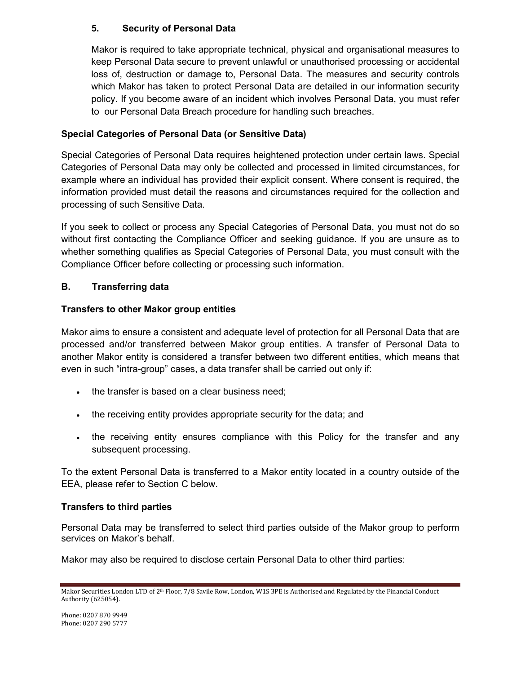### **5. Security of Personal Data**

Makor is required to take appropriate technical, physical and organisational measures to keep Personal Data secure to prevent unlawful or unauthorised processing or accidental loss of, destruction or damage to, Personal Data. The measures and security controls which Makor has taken to protect Personal Data are detailed in our information security policy. If you become aware of an incident which involves Personal Data, you must refer to our Personal Data Breach procedure for handling such breaches.

### **Special Categories of Personal Data (or Sensitive Data)**

Special Categories of Personal Data requires heightened protection under certain laws. Special Categories of Personal Data may only be collected and processed in limited circumstances, for example where an individual has provided their explicit consent. Where consent is required, the information provided must detail the reasons and circumstances required for the collection and processing of such Sensitive Data.

If you seek to collect or process any Special Categories of Personal Data, you must not do so without first contacting the Compliance Officer and seeking guidance. If you are unsure as to whether something qualifies as Special Categories of Personal Data, you must consult with the Compliance Officer before collecting or processing such information.

### **B. Transferring data**

#### **Transfers to other Makor group entities**

Makor aims to ensure a consistent and adequate level of protection for all Personal Data that are processed and/or transferred between Makor group entities. A transfer of Personal Data to another Makor entity is considered a transfer between two different entities, which means that even in such "intra-group" cases, a data transfer shall be carried out only if:

- the transfer is based on a clear business need;
- the receiving entity provides appropriate security for the data; and
- the receiving entity ensures compliance with this Policy for the transfer and any subsequent processing.

To the extent Personal Data is transferred to a Makor entity located in a country outside of the EEA, please refer to Section C below.

#### **Transfers to third parties**

Personal Data may be transferred to select third parties outside of the Makor group to perform services on Makor's behalf.

Makor may also be required to disclose certain Personal Data to other third parties:

Makor Securities London LTD of 2<sup>th</sup> Floor, 7/8 Savile Row, London, W1S 3PE is Authorised and Regulated by the Financial Conduct Authority (625054).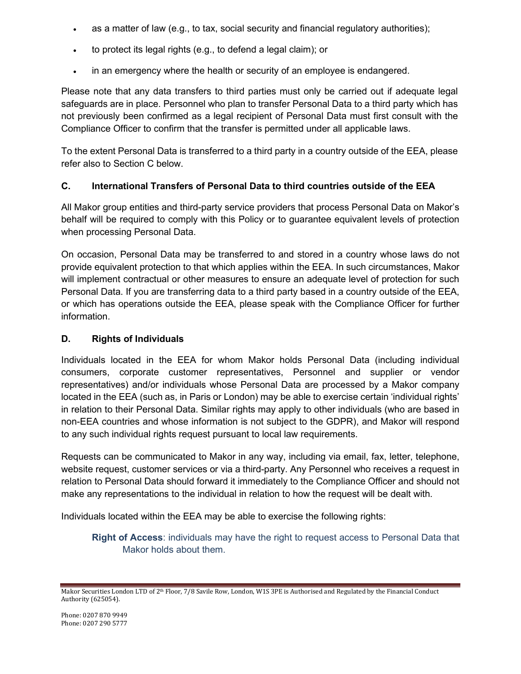- as a matter of law (e.g., to tax, social security and financial regulatory authorities);
- to protect its legal rights (e.g., to defend a legal claim); or
- in an emergency where the health or security of an employee is endangered.

Please note that any data transfers to third parties must only be carried out if adequate legal safeguards are in place. Personnel who plan to transfer Personal Data to a third party which has not previously been confirmed as a legal recipient of Personal Data must first consult with the Compliance Officer to confirm that the transfer is permitted under all applicable laws.

To the extent Personal Data is transferred to a third party in a country outside of the EEA, please refer also to Section C below.

#### **C. International Transfers of Personal Data to third countries outside of the EEA**

All Makor group entities and third-party service providers that process Personal Data on Makor's behalf will be required to comply with this Policy or to guarantee equivalent levels of protection when processing Personal Data.

On occasion, Personal Data may be transferred to and stored in a country whose laws do not provide equivalent protection to that which applies within the EEA. In such circumstances, Makor will implement contractual or other measures to ensure an adequate level of protection for such Personal Data. If you are transferring data to a third party based in a country outside of the EEA, or which has operations outside the EEA, please speak with the Compliance Officer for further information.

#### **D. Rights of Individuals**

Individuals located in the EEA for whom Makor holds Personal Data (including individual consumers, corporate customer representatives, Personnel and supplier or vendor representatives) and/or individuals whose Personal Data are processed by a Makor company located in the EEA (such as, in Paris or London) may be able to exercise certain 'individual rights' in relation to their Personal Data. Similar rights may apply to other individuals (who are based in non-EEA countries and whose information is not subject to the GDPR), and Makor will respond to any such individual rights request pursuant to local law requirements.

Requests can be communicated to Makor in any way, including via email, fax, letter, telephone, website request, customer services or via a third-party. Any Personnel who receives a request in relation to Personal Data should forward it immediately to the Compliance Officer and should not make any representations to the individual in relation to how the request will be dealt with.

Individuals located within the EEA may be able to exercise the following rights:

**Right of Access**: individuals may have the right to request access to Personal Data that Makor holds about them.

Makor Securities London LTD of 2<sup>th</sup> Floor, 7/8 Savile Row, London, W1S 3PE is Authorised and Regulated by the Financial Conduct Authority (625054).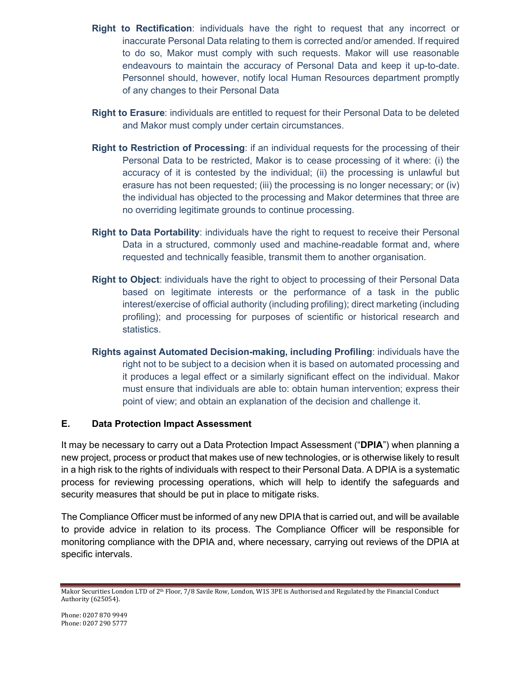- **Right to Rectification**: individuals have the right to request that any incorrect or inaccurate Personal Data relating to them is corrected and/or amended. If required to do so, Makor must comply with such requests. Makor will use reasonable endeavours to maintain the accuracy of Personal Data and keep it up-to-date. Personnel should, however, notify local Human Resources department promptly of any changes to their Personal Data
- **Right to Erasure**: individuals are entitled to request for their Personal Data to be deleted and Makor must comply under certain circumstances.
- **Right to Restriction of Processing**: if an individual requests for the processing of their Personal Data to be restricted, Makor is to cease processing of it where: (i) the accuracy of it is contested by the individual; (ii) the processing is unlawful but erasure has not been requested; (iii) the processing is no longer necessary; or (iv) the individual has objected to the processing and Makor determines that three are no overriding legitimate grounds to continue processing.
- **Right to Data Portability**: individuals have the right to request to receive their Personal Data in a structured, commonly used and machine-readable format and, where requested and technically feasible, transmit them to another organisation.
- **Right to Object**: individuals have the right to object to processing of their Personal Data based on legitimate interests or the performance of a task in the public interest/exercise of official authority (including profiling); direct marketing (including profiling); and processing for purposes of scientific or historical research and statistics.
- **Rights against Automated Decision-making, including Profiling**: individuals have the right not to be subject to a decision when it is based on automated processing and it produces a legal effect or a similarly significant effect on the individual. Makor must ensure that individuals are able to: obtain human intervention; express their point of view; and obtain an explanation of the decision and challenge it.

#### **E. Data Protection Impact Assessment**

It may be necessary to carry out a Data Protection Impact Assessment ("**DPIA**") when planning a new project, process or product that makes use of new technologies, or is otherwise likely to result in a high risk to the rights of individuals with respect to their Personal Data. A DPIA is a systematic process for reviewing processing operations, which will help to identify the safeguards and security measures that should be put in place to mitigate risks.

The Compliance Officer must be informed of any new DPIA that is carried out, and will be available to provide advice in relation to its process. The Compliance Officer will be responsible for monitoring compliance with the DPIA and, where necessary, carrying out reviews of the DPIA at specific intervals.

Makor Securities London LTD of 2<sup>th</sup> Floor, 7/8 Savile Row, London, W1S 3PE is Authorised and Regulated by the Financial Conduct Authority (625054).